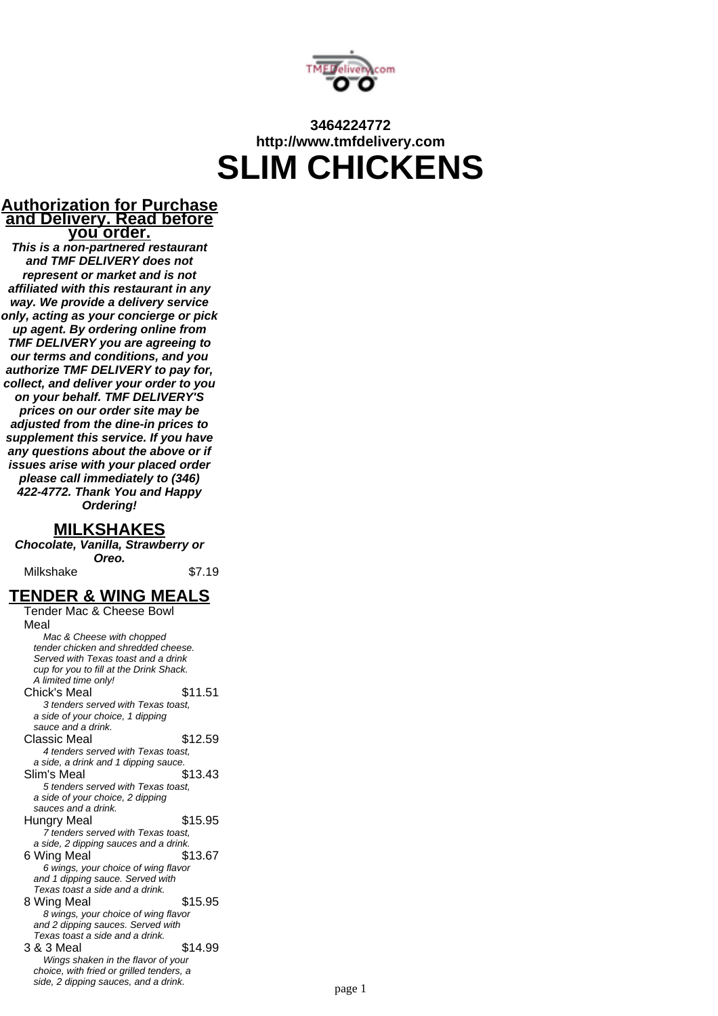

# **3464224772 http://www.tmfdelivery.com SLIM CHICKENS**

#### **Authorization for Purchase and Delivery. Read before you order.**

**This is a non-partnered restaurant and TMF DELIVERY does not represent or market and is not affiliated with this restaurant in any way. We provide a delivery service only, acting as your concierge or pick up agent. By ordering online from TMF DELIVERY you are agreeing to our terms and conditions, and you authorize TMF DELIVERY to pay for, collect, and deliver your order to you on your behalf. TMF DELIVERY'S prices on our order site may be adjusted from the dine-in prices to supplement this service. If you have any questions about the above or if issues arise with your placed order please call immediately to (346) 422-4772. Thank You and Happy Ordering!**

#### **MILKSHAKES**

**Chocolate, Vanilla, Strawberry or Oreo.**

Milkshake  $$7.19$ 

#### **TENDER & WING MEALS**

Tender Mac & Cheese Bowl Meal Mac & Cheese with chopped tender chicken and shredded cheese. Served with Texas toast and a drink cup for you to fill at the Drink Shack. A limited time only! Chick's Meal \$11.51 3 tenders served with Texas toast, a side of your choice, 1 dipping sauce and a drink. Classic Meal \$12.59 4 tenders served with Texas toast, a side, a drink and 1 dipping sauce. Slim's Meal \$13.43 5 tenders served with Texas toast, a side of your choice, 2 dipping sauces and a drink. Hungry Meal \$15.95 7 tenders served with Texas toast, a side, 2 dipping sauces and a drink. 6 Wing Meal \$13.67 6 wings, your choice of wing flavor and 1 dipping sauce. Served with Texas toast a side and a drink. 8 Wing Meal **\$15.95** 8 wings, your choice of wing flavor and 2 dipping sauces. Served with Texas toast a side and a drink. 3 & 3 Meal \$14.99 Wings shaken in the flavor of your choice, with fried or grilled tenders, a side, 2 dipping sauces, and a drink.<br>
page 1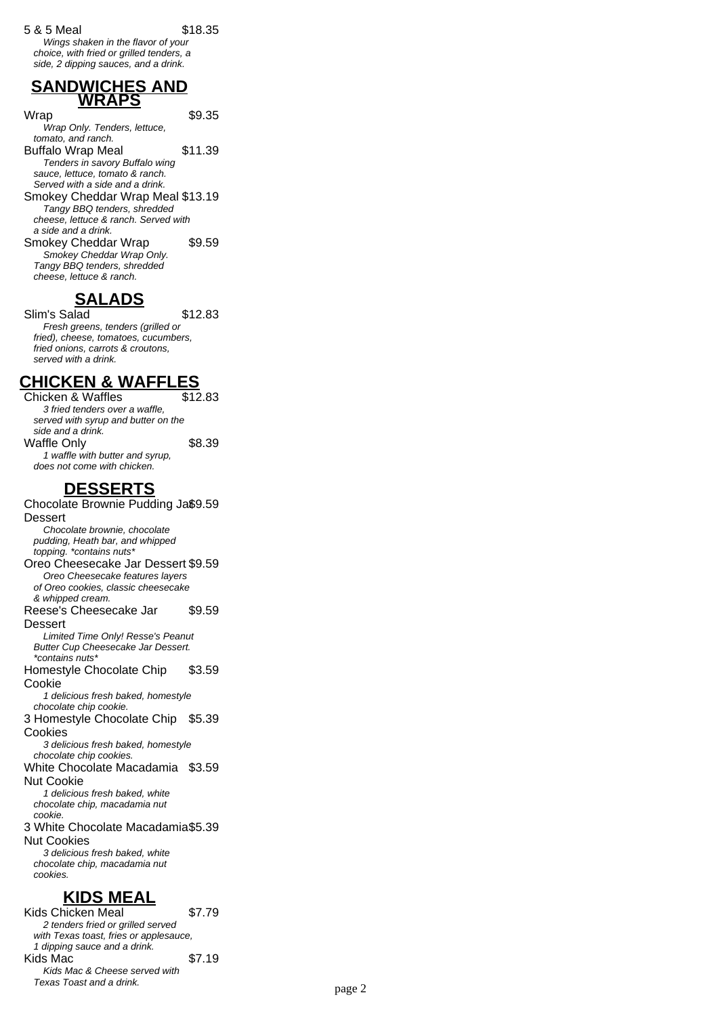Wings shaken in the flavor of your choice, with fried or grilled tenders, a side, 2 dipping sauces, and a drink.

#### **SANDWICHES AND WRAPS**

Wrap \$9.35

- Wrap Only. Tenders, lettuce, tomato, and ranch.
- Buffalo Wrap Meal \$11.39 Tenders in savory Buffalo wing sauce, lettuce, tomato & ranch.
- Served with a side and a drink. Smokey Cheddar Wrap Meal \$13.19 Tangy BBQ tenders, shredded cheese, lettuce & ranch. Served with a side and a drink.
- Smokey Cheddar Wrap \$9.59 Smokey Cheddar Wrap Only. Tangy BBQ tenders, shredded cheese, lettuce & ranch.

# **SALADS**

Slim's Salad \$12.83 Fresh greens, tenders (grilled or fried), cheese, tomatoes, cucumbers, fried onions, carrots & croutons, served with a drink.

## **CHICKEN & WAFFLES**

Chicken & Waffles \$12.83 3 fried tenders over a waffle, served with syrup and butter on the side and a drink. Waffle Only \$8.39 1 waffle with butter and syrup, does not come with chicken.

## **DESSERTS**

Chocolate Brownie Pudding Ja\$9.59 Dessert Chocolate brownie, chocolate pudding, Heath bar, and whipped topping. \*contains nuts\* Oreo Cheesecake Jar Dessert \$9.59 Oreo Cheesecake features layers of Oreo cookies, classic cheesecake & whipped cream. Reese's Cheesecake Jar **Dessert** \$9.59 Limited Time Only! Resse's Peanut Butter Cup Cheesecake Jar Dessert. \*contains nuts\* Homestyle Chocolate Chip Cookie \$3.59 1 delicious fresh baked, homestyle chocolate chip cookie. 3 Homestyle Chocolate Chip \$5.39 Cookies 3 delicious fresh baked, homestyle chocolate chip cookies. White Chocolate Macadamia \$3.59 Nut Cookie 1 delicious fresh baked, white chocolate chip, macadamia nut cookie. 3 White Chocolate Macadamia \$5.39 Nut Cookies 3 delicious fresh baked, white chocolate chip, macadamia nut cookies. **KIDS MEAL** Kids Chicken Meal \$7.79

#### 2 tenders fried or grilled served with Texas toast, fries or applesauce, 1 dipping sauce and a drink. Kids Mac  $$7.19$ Kids Mac & Cheese served with Texas Toast and a drink.<br>
page 2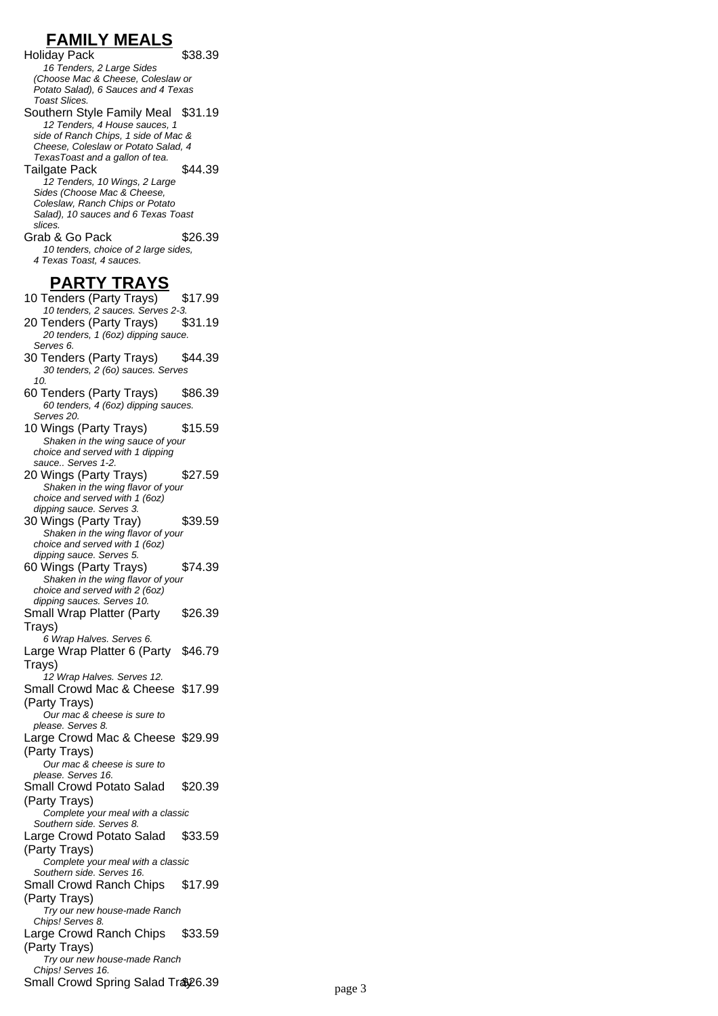# **FAMILY MEALS**

Holiday Pack \$38.39 16 Tenders, 2 Large Sides (Choose Mac & Cheese, Coleslaw or Potato Salad), 6 Sauces and 4 Texas Toast Slices.

Southern Style Family Meal \$31.19 12 Tenders, 4 House sauces, 1 side of Ranch Chips, 1 side of Mac & Cheese, Coleslaw or Potato Salad, 4 TexasToast and a gallon of tea. Tailgate Pack \$44.39

12 Tenders, 10 Wings, 2 Large Sides (Choose Mac & Cheese, Coleslaw, Ranch Chips or Potato Salad), 10 sauces and 6 Texas Toast slices.

Grab & Go Pack \$26.39 10 tenders, choice of 2 large sides, 4 Texas Toast, 4 sauces.

#### **PARTY TRAYS**

- 10 Tenders (Party Trays) \$17.99 10 tenders, 2 sauces. Serves 2-3.<br>Fenders (Partv Travs) \$31.19 20 Tenders (Party Trays) 20 tenders, 1 (6oz) dipping sauce. Serves 6. 30 Tenders (Party Trays) \$44.39 30 tenders, 2 (6o) sauces. Serves  $1<sub>0</sub>$
- 60 Tenders (Party Trays) \$86.39 60 tenders, 4 (6oz) dipping sauces. Serves 20.
- 10 Wings (Party Trays) \$15.59 Shaken in the wing sauce of your choice and served with 1 dipping sauce.. Serves 1-2.
- 20 Wings (Party Trays) \$27.59 Shaken in the wing flavor of your choice and served with 1 (6oz)
- dipping sauce. Serves 3. 30 Wings (Party Tray) \$39.59 Shaken in the wing flavor of your choice and served with 1 (6oz)
- dipping sauce. Serves 5. 60 Wings (Party Trays) \$74.39 Shaken in the wing flavor of your choice and served with 2 (6oz)
- dipping sauces. Serves 10. Small Wrap Platter (Party \$26.39

Trays)

- 6 Wrap Halves. Serves 6. Large Wrap Platter 6 (Party Trays) \$46.79
- 12 Wrap Halves. Serves 12. Small Crowd Mac & Cheese \$17.99

(Party Trays) Our mac & cheese is sure to

please. Serves 8. Large Crowd Mac & Cheese \$29.99

(Party Trays)

- Our mac & cheese is sure to please. Serves 16.
- Small Crowd Potato Salad

(Party Trays)

Complete your meal with a classic Southern side. Serves 8.

Large Crowd Potato Salad (Party Trays) \$33.59

\$20.39

\$33.59

Complete your meal with a classic Southern side. Serves 16.

Small Crowd Ranch Chips (Party Trays) \$17.99

Try our new house-made Ranch

Chips! Serves 8. Large Crowd Ranch Chips

(Party Trays)

Try our new house-made Ranch Chips! Serves 16.

Small Crowd Spring Salad Tray 26.39